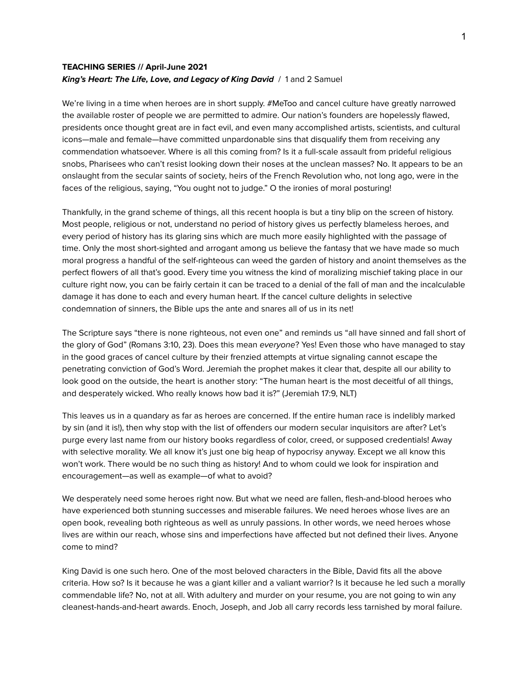# **TEACHING SERIES // April-June 2021 King's Heart: The Life, Love, and Legacy of King David** / 1 and 2 Samuel

We're living in a time when heroes are in short supply. #MeToo and cancel culture have greatly narrowed the available roster of people we are permitted to admire. Our nation's founders are hopelessly flawed, presidents once thought great are in fact evil, and even many accomplished artists, scientists, and cultural icons—male and female—have committed unpardonable sins that disqualify them from receiving any commendation whatsoever. Where is all this coming from? Is it a full-scale assault from prideful religious snobs, Pharisees who can't resist looking down their noses at the unclean masses? No. It appears to be an onslaught from the secular saints of society, heirs of the French Revolution who, not long ago, were in the faces of the religious, saying, "You ought not to judge." O the ironies of moral posturing!

Thankfully, in the grand scheme of things, all this recent hoopla is but a tiny blip on the screen of history. Most people, religious or not, understand no period of history gives us perfectly blameless heroes, and every period of history has its glaring sins which are much more easily highlighted with the passage of time. Only the most short-sighted and arrogant among us believe the fantasy that we have made so much moral progress a handful of the self-righteous can weed the garden of history and anoint themselves as the perfect flowers of all that's good. Every time you witness the kind of moralizing mischief taking place in our culture right now, you can be fairly certain it can be traced to a denial of the fall of man and the incalculable damage it has done to each and every human heart. If the cancel culture delights in selective condemnation of sinners, the Bible ups the ante and snares all of us in its net!

The Scripture says "there is none righteous, not even one" and reminds us "all have sinned and fall short of the glory of God" (Romans 3:10, 23). Does this mean everyone? Yes! Even those who have managed to stay in the good graces of cancel culture by their frenzied attempts at virtue signaling cannot escape the penetrating conviction of God's Word. Jeremiah the prophet makes it clear that, despite all our ability to look good on the outside, the heart is another story: "The human heart is the most deceitful of all things, and desperately wicked. Who really knows how bad it is?" (Jeremiah 17:9, NLT)

This leaves us in a quandary as far as heroes are concerned. If the entire human race is indelibly marked by sin (and it is!), then why stop with the list of offenders our modern secular inquisitors are after? Let's purge every last name from our history books regardless of color, creed, or supposed credentials! Away with selective morality. We all know it's just one big heap of hypocrisy anyway. Except we all know this won't work. There would be no such thing as history! And to whom could we look for inspiration and encouragement—as well as example—of what to avoid?

We desperately need some heroes right now. But what we need are fallen, flesh-and-blood heroes who have experienced both stunning successes and miserable failures. We need heroes whose lives are an open book, revealing both righteous as well as unruly passions. In other words, we need heroes whose lives are within our reach, whose sins and imperfections have affected but not defined their lives. Anyone come to mind?

King David is one such hero. One of the most beloved characters in the Bible, David fits all the above criteria. How so? Is it because he was a giant killer and a valiant warrior? Is it because he led such a morally commendable life? No, not at all. With adultery and murder on your resume, you are not going to win any cleanest-hands-and-heart awards. Enoch, Joseph, and Job all carry records less tarnished by moral failure.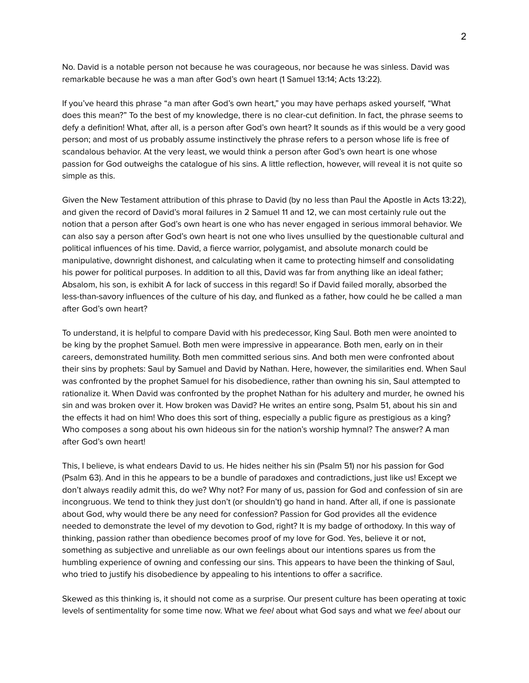No. David is a notable person not because he was courageous, nor because he was sinless. David was remarkable because he was a man after God's own heart (1 Samuel 13:14; Acts 13:22).

If you've heard this phrase "a man after God's own heart," you may have perhaps asked yourself, "What does this mean?" To the best of my knowledge, there is no clear-cut definition. In fact, the phrase seems to defy a definition! What, after all, is a person after God's own heart? It sounds as if this would be a very good person; and most of us probably assume instinctively the phrase refers to a person whose life is free of scandalous behavior. At the very least, we would think a person after God's own heart is one whose passion for God outweighs the catalogue of his sins. A little reflection, however, will reveal it is not quite so simple as this.

Given the New Testament attribution of this phrase to David (by no less than Paul the Apostle in Acts 13:22), and given the record of David's moral failures in 2 Samuel 11 and 12, we can most certainly rule out the notion that a person after God's own heart is one who has never engaged in serious immoral behavior. We can also say a person after God's own heart is not one who lives unsullied by the questionable cultural and political influences of his time. David, a fierce warrior, polygamist, and absolute monarch could be manipulative, downright dishonest, and calculating when it came to protecting himself and consolidating his power for political purposes. In addition to all this, David was far from anything like an ideal father; Absalom, his son, is exhibit A for lack of success in this regard! So if David failed morally, absorbed the less-than-savory influences of the culture of his day, and flunked as a father, how could he be called a man after God's own heart?

To understand, it is helpful to compare David with his predecessor, King Saul. Both men were anointed to be king by the prophet Samuel. Both men were impressive in appearance. Both men, early on in their careers, demonstrated humility. Both men committed serious sins. And both men were confronted about their sins by prophets: Saul by Samuel and David by Nathan. Here, however, the similarities end. When Saul was confronted by the prophet Samuel for his disobedience, rather than owning his sin, Saul attempted to rationalize it. When David was confronted by the prophet Nathan for his adultery and murder, he owned his sin and was broken over it. How broken was David? He writes an entire song, Psalm 51, about his sin and the effects it had on him! Who does this sort of thing, especially a public figure as prestigious as a king? Who composes a song about his own hideous sin for the nation's worship hymnal? The answer? A man after God's own heart!

This, I believe, is what endears David to us. He hides neither his sin (Psalm 51) nor his passion for God (Psalm 63). And in this he appears to be a bundle of paradoxes and contradictions, just like us! Except we don't always readily admit this, do we? Why not? For many of us, passion for God and confession of sin are incongruous. We tend to think they just don't (or shouldn't) go hand in hand. After all, if one is passionate about God, why would there be any need for confession? Passion for God provides all the evidence needed to demonstrate the level of my devotion to God, right? It is my badge of orthodoxy. In this way of thinking, passion rather than obedience becomes proof of my love for God. Yes, believe it or not, something as subjective and unreliable as our own feelings about our intentions spares us from the humbling experience of owning and confessing our sins. This appears to have been the thinking of Saul, who tried to justify his disobedience by appealing to his intentions to offer a sacrifice.

Skewed as this thinking is, it should not come as a surprise. Our present culture has been operating at toxic levels of sentimentality for some time now. What we feel about what God says and what we feel about our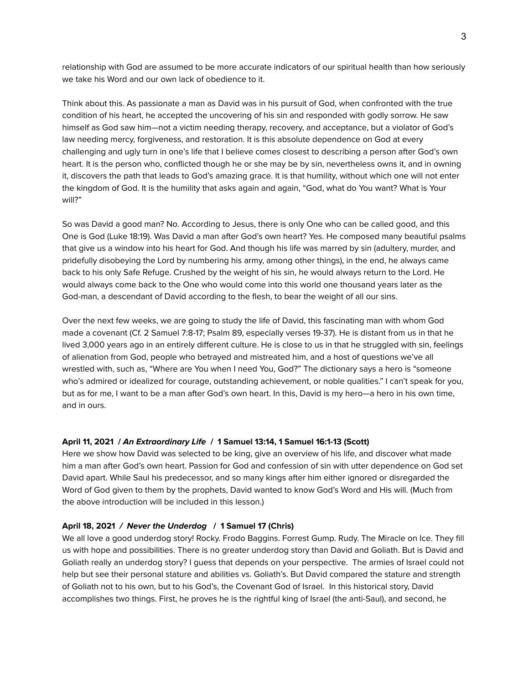relationship with God are assumed to be more accurate indicators of our spiritual health than how seriously we take his Word and our own lack of obedience to it.

Think about this. As passionate a man as David was in his pursuit of God, when confronted with the true condition of his heart, he accepted the uncovering of his sin and responded with godly sorrow. He saw himself as God saw him—not a victim needing therapy, recovery, and acceptance, but a violator of God's law needing mercy, forgiveness, and restoration. It is this absolute dependence on God at every challenging and ugly turn in one's life that I believe comes closest to describing a person after God's own heart. It is the person who, conflicted though he or she may be by sin, nevertheless owns it, and in owning it, discovers the path that leads to God's amazing grace. It is that humility, without which one will not enter the kingdom of God. It is the humility that asks again and again, "God, what do You want? What is Your will?"

So was David a good man? No. According to Jesus, there is only One who can be called good, and this One is God (Luke 18:19). Was David a man after God's own heart? Yes. He composed many beautiful psalms that give us a window into his heart for God. And though his life was marred by sin (adultery, murder, and pridefully disobeying the Lord by numbering his army, among other things), in the end, he always came back to his only Safe Refuge. Crushed by the weight of his sin, he would always return to the Lord. He would always come back to the One who would come into this world one thousand years later as the God-man, a descendant of David according to the flesh, to bear the weight of all our sins.

Over the next few weeks, we are going to study the life of David, this fascinating man with whom God made a covenant (Cf. 2 Samuel 7:8-17; Psalm 89, especially verses 19-37). He is distant from us in that he lived 3,000 years ago in an entirely different culture. He is close to us in that he struggled with sin, feelings of alienation from God, people who betrayed and mistreated him, and a host of questions we've all wrestled with, such as, "Where are You when I need You, God?" The dictionary says a hero is "someone who's admired or idealized for courage, outstanding achievement, or noble qualities." I can't speak for you, but as for me, I want to be a man after God's own heart. In this, David is my hero—a hero in his own time, and in ours.

#### **April 11, 2021 / An Extraordinary Life / 1 Samuel 13:14, 1 Samuel 16:1-13 (Scott)**

Here we show how David was selected to be king, give an overview of his life, and discover what made him a man after God's own heart. Passion for God and confession of sin with utter dependence on God set David apart. While Saul his predecessor, and so many kings after him either ignored or disregarded the Word of God given to them by the prophets, David wanted to know God's Word and His will. (Much from the above introduction will be included in this lesson.)

### **April 18, 2021 / Never the Underdog / 1 Samuel 17 (Chris)**

We all love a good underdog story! Rocky. Frodo Baggins. Forrest Gump. Rudy. The Miracle on Ice. They fill us with hope and possibilities. There is no greater underdog story than David and Goliath. But is David and Goliath really an underdog story? I guess that depends on your perspective. The armies of Israel could not help but see their personal stature and abilities vs. Goliath's. But David compared the stature and strength of Goliath not to his own, but to his God's, the Covenant God of Israel. In this historical story, David accomplishes two things. First, he proves he is the rightful king of Israel (the anti-Saul), and second, he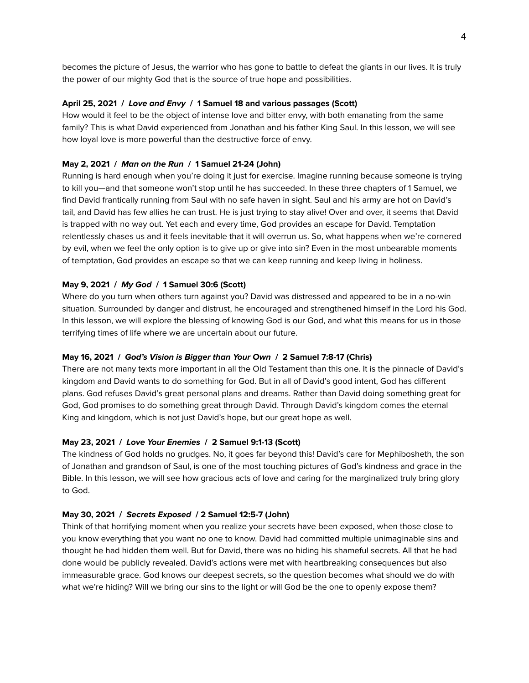becomes the picture of Jesus, the warrior who has gone to battle to defeat the giants in our lives. It is truly the power of our mighty God that is the source of true hope and possibilities.

### **April 25, 2021 / Love and Envy / 1 Samuel 18 and various passages (Scott)**

How would it feel to be the object of intense love and bitter envy, with both emanating from the same family? This is what David experienced from Jonathan and his father King Saul. In this lesson, we will see how loyal love is more powerful than the destructive force of envy.

## **May 2, 2021 / Man on the Run / 1 Samuel 21-24 (John)**

Running is hard enough when you're doing it just for exercise. Imagine running because someone is trying to kill you—and that someone won't stop until he has succeeded. In these three chapters of 1 Samuel, we find David frantically running from Saul with no safe haven in sight. Saul and his army are hot on David's tail, and David has few allies he can trust. He is just trying to stay alive! Over and over, it seems that David is trapped with no way out. Yet each and every time, God provides an escape for David. Temptation relentlessly chases us and it feels inevitable that it will overrun us. So, what happens when we're cornered by evil, when we feel the only option is to give up or give into sin? Even in the most unbearable moments of temptation, God provides an escape so that we can keep running and keep living in holiness.

### **May 9, 2021 / My God / 1 Samuel 30:6 (Scott)**

Where do you turn when others turn against you? David was distressed and appeared to be in a no-win situation. Surrounded by danger and distrust, he encouraged and strengthened himself in the Lord his God. In this lesson, we will explore the blessing of knowing God is our God, and what this means for us in those terrifying times of life where we are uncertain about our future.

### **May 16, 2021 / God's Vision is Bigger than Your Own / 2 Samuel 7:8-17 (Chris)**

There are not many texts more important in all the Old Testament than this one. It is the pinnacle of David's kingdom and David wants to do something for God. But in all of David's good intent, God has different plans. God refuses David's great personal plans and dreams. Rather than David doing something great for God, God promises to do something great through David. Through David's kingdom comes the eternal King and kingdom, which is not just David's hope, but our great hope as well.

### **May 23, 2021 / Love Your Enemies / 2 Samuel 9:1-13 (Scott)**

The kindness of God holds no grudges. No, it goes far beyond this! David's care for Mephibosheth, the son of Jonathan and grandson of Saul, is one of the most touching pictures of God's kindness and grace in the Bible. In this lesson, we will see how gracious acts of love and caring for the marginalized truly bring glory to God.

### **May 30, 2021 / Secrets Exposed / 2 Samuel 12:5-7 (John)**

Think of that horrifying moment when you realize your secrets have been exposed, when those close to you know everything that you want no one to know. David had committed multiple unimaginable sins and thought he had hidden them well. But for David, there was no hiding his shameful secrets. All that he had done would be publicly revealed. David's actions were met with heartbreaking consequences but also immeasurable grace. God knows our deepest secrets, so the question becomes what should we do with what we're hiding? Will we bring our sins to the light or will God be the one to openly expose them?